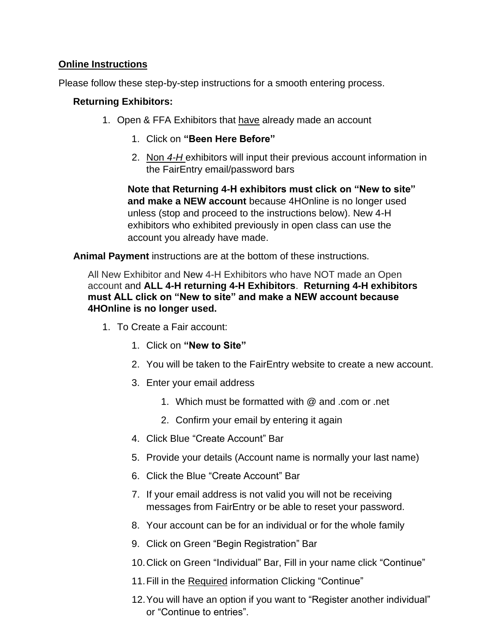## **Online Instructions**

Please follow these step-by-step instructions for a smooth entering process.

## **Returning Exhibitors:**

- 1. Open & FFA Exhibitors that have already made an account
	- 1. Click on **"Been Here Before"**
	- 2. Non *4-H* exhibitors will input their previous account information in the FairEntry email/password bars

**Note that Returning 4-H exhibitors must click on "New to site" and make a NEW account** because 4HOnline is no longer used unless (stop and proceed to the instructions below). New 4-H exhibitors who exhibited previously in open class can use the account you already have made.

**Animal Payment** instructions are at the bottom of these instructions.

All New Exhibitor and New 4-H Exhibitors who have NOT made an Open account and **ALL 4-H returning 4-H Exhibitors**. **Returning 4-H exhibitors must ALL click on "New to site" and make a NEW account because 4HOnline is no longer used.**

- 1. To Create a Fair account:
	- 1. Click on **"New to Site"**
	- 2. You will be taken to the FairEntry website to create a new account.
	- 3. Enter your email address
		- 1. Which must be formatted with @ and .com or .net
		- 2. Confirm your email by entering it again
	- 4. Click Blue "Create Account" Bar
	- 5. Provide your details (Account name is normally your last name)
	- 6. Click the Blue "Create Account" Bar
	- 7. If your email address is not valid you will not be receiving messages from FairEntry or be able to reset your password.
	- 8. Your account can be for an individual or for the whole family
	- 9. Click on Green "Begin Registration" Bar
	- 10.Click on Green "Individual" Bar, Fill in your name click "Continue"
	- 11.Fill in the Required information Clicking "Continue"
	- 12.You will have an option if you want to "Register another individual" or "Continue to entries".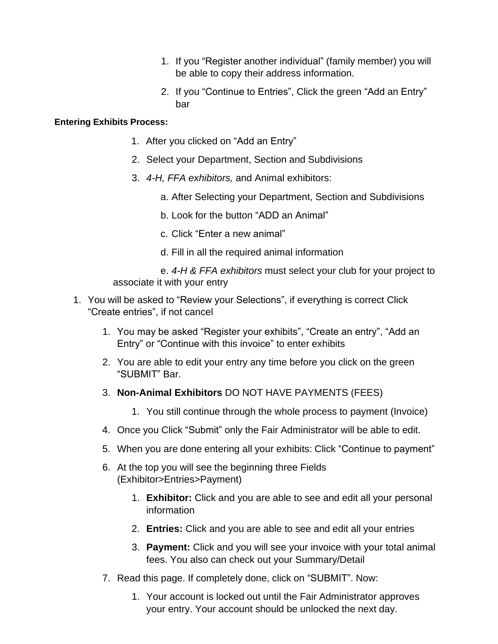- 1. If you "Register another individual" (family member) you will be able to copy their address information.
- 2. If you "Continue to Entries", Click the green "Add an Entry" bar

## **Entering Exhibits Process:**

- 1. After you clicked on "Add an Entry"
- 2. Select your Department, Section and Subdivisions
- 3. *4-H, FFA exhibitors,* and Animal exhibitors:
	- a. After Selecting your Department, Section and Subdivisions
	- b. Look for the button "ADD an Animal"
	- c. Click "Enter a new animal"
	- d. Fill in all the required animal information

e. *4-H & FFA exhibitors* must select your club for your project to associate it with your entry

- 1. You will be asked to "Review your Selections", if everything is correct Click "Create entries", if not cancel
	- 1. You may be asked "Register your exhibits", "Create an entry", "Add an Entry" or "Continue with this invoice" to enter exhibits
	- 2. You are able to edit your entry any time before you click on the green "SUBMIT" Bar.
	- 3. **Non-Animal Exhibitors** DO NOT HAVE PAYMENTS (FEES)
		- 1. You still continue through the whole process to payment (Invoice)
	- 4. Once you Click "Submit" only the Fair Administrator will be able to edit.
	- 5. When you are done entering all your exhibits: Click "Continue to payment"
	- 6. At the top you will see the beginning three Fields (Exhibitor>Entries>Payment)
		- 1. **Exhibitor:** Click and you are able to see and edit all your personal information
		- 2. **Entries:** Click and you are able to see and edit all your entries
		- 3. **Payment:** Click and you will see your invoice with your total animal fees. You also can check out your Summary/Detail
	- 7. Read this page. If completely done, click on "SUBMIT". Now:
		- 1. Your account is locked out until the Fair Administrator approves your entry. Your account should be unlocked the next day.